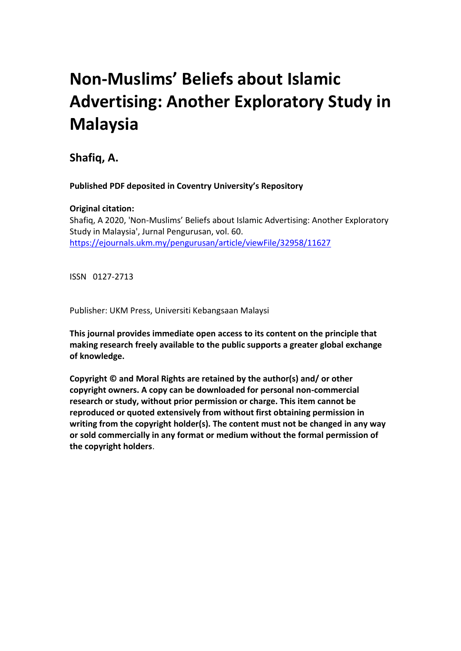# **Non-Muslims' Beliefs about Islamic Advertising: Another Exploratory Study in Malaysia**

**Shafiq, A.** 

 **Published PDF deposited in Coventry University's Repository**

# **Original citation:**

 Study in Malaysia', Jurnal Pengurusan, vol. 60. Shafiq, A 2020, 'Non-Muslims' Beliefs about Islamic Advertising: Another Exploratory <https://ejournals.ukm.my/pengurusan/article/viewFile/32958/11627>

ISSN 0127-2713

Publisher: UKM Press, Universiti Kebangsaan Malaysi

 **This journal provides immediate open access to its content on the principle that making research freely available to the public supports a greater global exchange of knowledge.** 

 **Copyright © and Moral Rights are retained by the author(s) and/ or other copyright owners. A copy can be downloaded for personal non-commercial research or study, without prior permission or charge. This item cannot be reproduced or quoted extensively from without first obtaining permission in writing from the copyright holder(s). The content must not be changed in any way or sold commercially in any format or medium without the formal permission of the copyright holders**.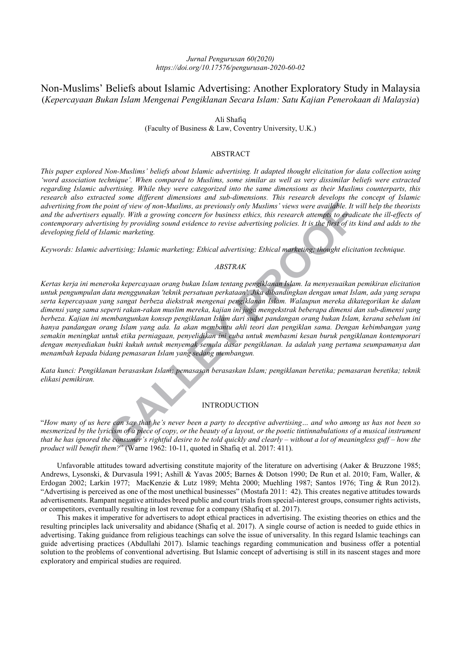# *Jurnal Pengurusan 60(2020) https://doi.org/10.17576/pengurusan-2020-60-02*

# Non-Muslims' Beliefs about Islamic Advertising: Another Exploratory Study in Malaysia  (*Kepercayaan Bukan Islam Mengenai Pengiklanan Secara Islam: Satu Kajian Penerokaan di Malaysia*)

 Ali Shafiq (Faculty of Business & Law, Coventry University, U.K.)

## ABSTRACT

 *This paper explored Non-Muslims' beliefs about Islamic advertising. It adapted thought elicitation for data collection using 'word association technique'. When compared to Muslims, some similar as well as very dissimilar beliefs were extracted regarding Islamic advertising. While they were categorized into the same dimensions as their Muslims counterparts, this research also extracted some different dimensions and sub-dimensions. This research develops the concept of Islamic advertising from the point of view of non-Muslims, as previously only Muslims' views were available. It will help the theorists and the advertisers equally. With a growing concern for business ethics, this research attempts to eradicate the ill-effects of contemporary advertising by providing sound evidence to revise advertising policies. It is the first of its kind and adds to the developing field of Islamic marketing.* 

 *Keywords: Islamic advertising; Islamic marketing; Ethical advertising; Ethical marketing; thought elicitation technique.* 

#### *ABSTRAK*

ooint of view of non-Muslims, as previously only Muslims' views were available. It will<br>ugually. With a growing concern for business ethics, this research attempts to breadical<br>sing by providing sound evidence to revise ad  *Kertas kerja ini meneroka kepercayaan orang bukan Islam tentang pengiklanan Islam. Ia menyesuaikan pemikiran elicitation untuk pengumpulan data menggunakan 'teknik persatuan perkataan'. Jika dibandingkan dengan umat Islam, ada yang serupa serta kepercayaan yang sangat berbeza diekstrak mengenai pengiklanan Islam. Walaupun mereka dikategorikan ke dalam dimensi yang sama seperti rakan-rakan muslim mereka, kajian ini juga mengekstrak beberapa dimensi dan sub-dimensi yang berbeza. Kajian ini membangunkan konsep pengiklanan Islam dari sudut pandangan orang bukan Islam, kerana sebelum ini hanya pandangan orang Islam yang ada. Ia akan membantu ahli teori dan pengiklan sama. Dengan kebimbangan yang semakin meningkat untuk etika perniagaan, penyelidikan ini cuba untuk membasmi kesan buruk pengiklanan kontemporari dengan menyediakan bukti kukuh untuk menyemak semula dasar pengiklanan. Ia adalah yang pertama seumpamanya dan menambah kepada bidang pemasaran Islam yang sedang membangun.* 

 *Kata kunci: Pengiklanan berasaskan Islam; pemasasan berasaskan Islam; pengiklanan beretika; pemasaran beretika; teknik elikasi pemikiran.* 

# INTRODUCTION

 "*How many of us here can say that he's never been a party to deceptive advertising… and who among us has not been so*  mesmerized by the lyricism of a piece of copy, or the beauty of a layout, or the poetic tintinnabulations of a musical instrument  *that he has ignored the consumer's rightful desire to be told quickly and clearly – without a lot of meaningless guff – how the product will benefit them?*" (Warne 1962: 10-11, quoted in Shafiq et al. 2017: 411).

Unfavorable attitudes toward advertising constitute majority of the literature on advertising (Aaker & Bruzzone 1985; Andrews, Lysonski, & Durvasula 1991; Ashill & Yavas 2005; Barnes & Dotson 1990; De Run et al. 2010; Fam, Waller, & Erdogan 2002; Larkin 1977; MacKenzie & Lutz 1989; Mehta 2000; Muehling 1987; Santos 1976; Ting & Run 2012). "Advertising is perceived as one of the most unethical businesses" (Mostafa 2011: 42). This creates negative attitudes towards advertisements. Rampant negative attitudes breed public and court trials from special-interest groups, consumer rights activists, or competitors, eventually resulting in lost revenue for a company (Shafiq et al. 2017).

resulting principles lack universality and abidance (Shafiq et al. 2017). A single course of action is needed to guide ethics in advertising. Taking guidance from religious teachings can solve the issue of universality. In this regard Islamic teachings can guide advertising practices (Abdullahi 2017). Islamic teachings regarding communication and business offer a potential solution to the problems of conventional advertising. But Islamic concept of advertising is still in its nascent stages and more exploratory and empirical studies are required. This makes it imperative for advertisers to adopt ethical practices in advertising. The existing theories on ethics and the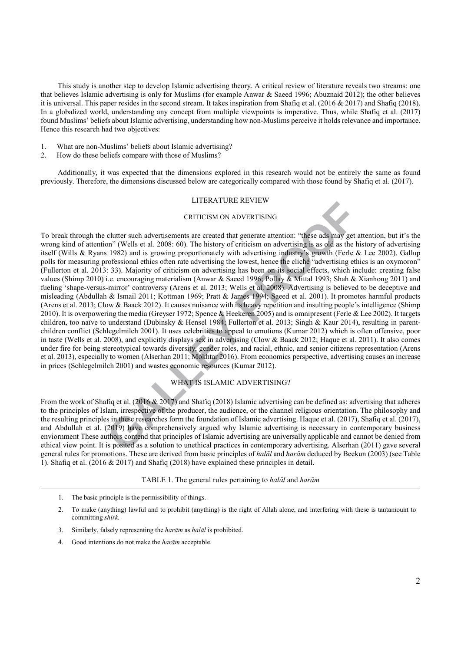that believes Islamic advertising is only for Muslims (for example Anwar & Saeed 1996; Abuznaid 2012); the other believes it is universal. This paper resides in the second stream. It takes inspiration from Shafiq et al. (2016 & 2017) and Shafiq (2018). In a globalized world, understanding any concept from multiple viewpoints is imperative. Thus, while Shafiq et al. (2017) found Muslims' beliefs about Islamic advertising, understanding how non-Muslims perceive it holds relevance and importance. Hence this research had two objectives: This study is another step to develop Islamic advertising theory. A critical review of literature reveals two streams: one

- 1. What are non-Muslims' beliefs about Islamic advertising?
- 2. How do these beliefs compare with those of Muslims?

Additionally, it was expected that the dimensions explored in this research would not be entirely the same as found previously. Therefore, the dimensions discussed below are categorically compared with those found by Shafiq et al. (2017).

# LITERATURE REVIEW

## CRITICISM ON ADVERTISING

**CALLERTICISM ON ADVERTISING**<br>
CRITICISM ON ADVERTISING<br>
clutter such advertisements are created that generate attention: "these ads may get att<br>
1982) and is growing proportionately with advertising industry's growth (Fer To break through the clutter such advertisements are created that generate attention: "these ads may get attention, but it's the wrong kind of attention" (Wells et al. 2008: 60). The history of criticism on advertising is as old as the history of advertising itself (Wills & Ryans 1982) and is growing proportionately with advertising industry's growth (Ferle & Lee 2002). Gallup polls for measuring professional ethics often rate advertising the lowest, hence the cliché "advertising ethics is an oxymoron" (Fullerton et al. 2013: 33). Majority of criticism on advertising has been on its social effects, which include: creating false values (Shimp 2010) i.e. encouraging materialism (Anwar & Saeed 1996; Pollay & Mittal 1993; Shah & Xianhong 2011) and fueling 'shape-versus-mirror' controversy (Arens et al. 2013; Wells et al. 2008). Advertising is believed to be deceptive and misleading (Abdullah & Ismail 2011; Kottman 1969; Pratt & James 1994; Saeed et al. 2001). It promotes harmful products (Arens et al. 2013; Clow & Baack 2012). It causes nuisance with its heavy repetition and insulting people's intelligence (Shimp 2010). It is overpowering the media (Greyser 1972; Spence & Heekeren 2005) and is omnipresent (Ferle & Lee 2002). It targets children, too naïve to understand (Dubinsky & Hensel 1984; Fullerton et al. 2013; Singh & Kaur 2014), resulting in parentchildren conflict (Schlegelmilch 2001). It uses celebrities to appeal to emotions (Kumar 2012) which is often offensive, poor in taste (Wells et al. 2008), and explicitly displays sex in advertising (Clow & Baack 2012; Haque et al. 2011). It also comes nder fire for being stereotypical towards diversity, gender roles, and racial, ethnic, and senior citizens representation (Arens et al. 2013), especially to women (Alserhan 2011; Mokhtar 2016). From economics perspective, advertising causes an increase in prices (Schlegelmilch 2001) and wastes economic resources (Kumar 2012).

# WHAT IS ISLAMIC ADVERTISING?

 From the work of Shafiq et al. (2016 & 2017) and Shafiq (2018) Islamic advertising can be defined as: advertising that adheres to the principles of Islam, irrespective of the producer, the audience, or the channel religious orientation. The philosophy and the resulting principles in these researches form the foundation of Islamic advertising. Haque et al. (2017), Shafiq et al. (2017), and Abdullah et al. (2019) have comprehensively argued why Islamic advertising is necessary in contemporary business enviornment These authors contend that principles of Islamic advertising are universally applicable and cannot be denied from ethical view point. It is posited as a solution to unethical practices in contemporary advertising. Alserhan (2011) gave several general rules for promotions. These are derived from basic principles of *halāl* and *harām* deduced by Beekun (2003) (see Table 1). Shafiq et al. (2016 & 2017) and Shafiq (2018) have explained these principles in detail.

## TABLE 1. The general rules pertaining to *halāl* and *harām*

- 1. The basic principle is the permissibility of things.
- 2. To make (anything) lawful and to prohibit (anything) is the right of Allah alone, and interfering with these is tantamount to committing *shirk.*
- 3. Similarly, falsely representing the *harām* as *halāl* is prohibited.
- 4. Good intentions do not make the *harām* acceptable.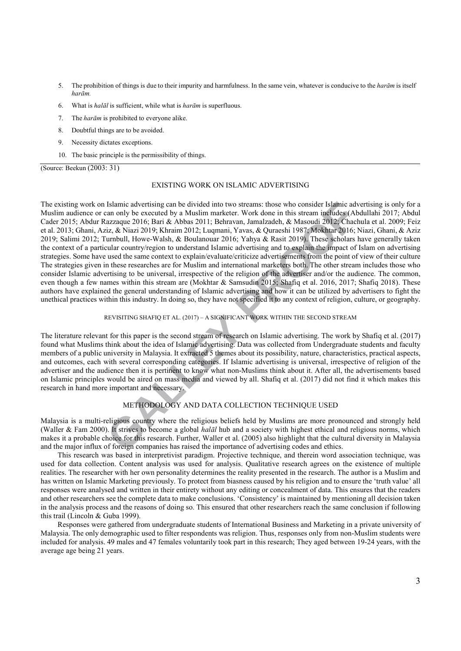- 5. The prohibition of things is due to their impurity and harmfulness. In the same vein, whatever is conducive to the *harām* is itself *harām.*
- 6. What is *halāl* is sufficient, while what is *harām* is superfluous.
- 7. The *harām* is prohibited to everyone alike.
- 8. Doubtful things are to be avoided.
- 9. Necessity dictates exceptions.
- 10. The basic principle is the permissibility of things.

(Source: Beekun (2003: 31)

#### EXISTING WORK ON ISLAMIC ADVERTISING

Islamic advertising can be divided into two streams; those who consider Islamic adveration and ply be executed by a Muslim marketer. Work done in this stream includes (Abdu, ziz, & Nizazi 2019; Chachui ziz, & Nizazi 2019; The existing work on Islamic advertising can be divided into two streams: those who consider Islamic advertising is only for a Muslim audience or can only be executed by a Muslim marketer. Work done in this stream includes (Abdullahi 2017; Abdul Cader 2015; Abdur Razzaque 2016; Bari & Abbas 2011; Behravan, Jamalzadeh, & Masoudi 2012; Chachula et al. 2009; Feiz et al. 2013; Ghani, Aziz, & Niazi 2019; Khraim 2012; Luqmani, Yavas, & Quraeshi 1987; Mokhtar 2016; Niazi, Ghani, & Aziz 2019; Salimi 2012; Turnbull, Howe-Walsh, & Boulanouar 2016; Yahya & Rasit 2019). These scholars have generally taken the context of a particular country/region to understand Islamic advertising and to explain the impact of Islam on advertising strategies. Some have used the same context to explain/evaluate/criticize advertisements from the point of view of their culture The strategies given in these researches are for Muslim and international marketers both. The other stream includes those who consider Islamic advertising to be universal, irrespective of the religion of the advertiser and/or the audience. The common, even though a few names within this stream are (Mokhtar & Samsudin 2015; Shafiq et al. 2016, 2017; Shafiq 2018). These authors have explained the general understanding of Islamic advertising and how it can be utilized by advertisers to fight the unethical practices within this industry. In doing so, they have not specified it to any context of religion, culture, or geography.

#### REVISITING SHAFIQ ET AL. (2017) – A SIGNIFICANT WORK WITHIN THE SECOND STREAM

The literature relevant for this paper is the second stream of research on Islamic advertising. The work by Shafiq et al. (2017) found what Muslims think about the idea of Islamic advertising. Data was collected from Undergraduate students and faculty members of a public university in Malaysia. It extracted 5 themes about its possibility, nature, characteristics, practical aspects, and outcomes, each with several corresponding categories. If Islamic advertising is universal, irrespective of religion of the advertiser and the audience then it is pertinent to know what non-Muslims think about it. After all, the advertisements based on Islamic principles would be aired on mass media and viewed by all. Shafiq et al. (2017) did not find it which makes this research in hand more important and necessary.

## METHODOLOGY AND DATA COLLECTION TECHNIQUE USED

Malaysia is a multi-religious country where the religious beliefs held by Muslims are more pronounced and strongly held (Waller & Fam 2000). It strives to become a global *halāl* hub and a society with highest ethical and religious norms, which makes it a probable choice for this research. Further, Waller et al. (2005) also highlight that the cultural diversity in Malaysia and the major influx of foreign companies has raised the importance of advertising codes and ethics.

used for data collection. Content analysis was used for analysis. Qualitative research agrees on the existence of multiple realities. The researcher with her own personality determines the reality presented in the research. The author is a Muslim and has written on Islamic Marketing previously. To protect from biasness caused by his religion and to ensure the 'truth value' all responses were analysed and written in their entirety without any editing or concealment of data. This ensures that the readers and other researchers see the complete data to make conclusions. 'Consistency' is maintained by mentioning all decision taken in the analysis process and the reasons of doing so. This ensured that other researchers reach the same conclusion if following this trail (Lincoln & Guba 1999). This research was based in interpretivist paradigm. Projective technique, and therein word association technique, was

Responses were gathered from undergraduate students of International Business and Marketing in a private university of Malaysia. The only demographic used to filter respondents was religion. Thus, responses only from non-Muslim students were included for analysis. 49 males and 47 females voluntarily took part in this research; They aged between 19-24 years, with the average age being 21 years.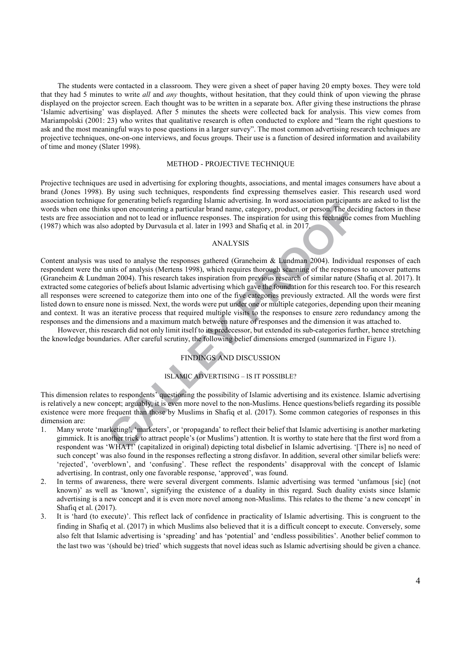that they had 5 minutes to write *all* and *any* thoughts, without hesitation, that they could think of upon viewing the phrase displayed on the projector screen. Each thought was to be written in a separate box. After giving these instructions the phrase 'Islamic advertising' was displayed. After 5 minutes the sheets were collected back for analysis. This view comes from Mariampolski (2001: 23) who writes that qualitative research is often conducted to explore and "learn the right questions to ask and the most meaningful ways to pose questions in a larger survey". The most common advertising research techniques are projective techniques, one-on-one interviews, and focus groups. Their use is a function of desired information and availability of time and money (Slater 1998). The students were contacted in a classroom. They were given a sheet of paper having 20 empty boxes. They were told

#### METHOD - PROJECTIVE TECHNIQUE

Projective techniques are used in advertising for exploring thoughts, associations, and mental images consumers have about a brand (Jones 1998). By using such techniques, respondents find expressing themselves easier. This research used word association technique for generating beliefs regarding Islamic advertising. In word association participants are asked to list the words when one thinks upon encountering a particular brand name, category, product, or person. The deciding factors in these tests are free association and not to lead or influence responses. The inspiration for using this technique comes from Muehling (1987) which was also adopted by Durvasula et al. later in 1993 and Shafiq et al. in 2017.

# ANALYSIS

To registrating enters registrange Islamic antertising. In word association particulars as upon encountering a particular brand name, category, product, or person. The decidion and not to lead or influence responses. The i Content analysis was used to analyse the responses gathered (Graneheim & Lundman 2004). Individual responses of each respondent were the units of analysis (Mertens 1998), which requires thorough scanning of the responses to uncover patterns (Graneheim & Lundman 2004). This research takes inspiration from previous research of similar nature (Shafiq et al. 2017). It extracted some categories of beliefs about Islamic advertising which gave the foundation for this research too. For this research all responses were screened to categorize them into one of the five categories previously extracted. All the words were first listed down to ensure none is missed. Next, the words were put under one or multiple categories, depending upon their meaning and context. It was an iterative process that required multiple visits to the responses to ensure zero redundancy among the responses and the dimensions and a maximum match between nature of responses and the dimension it was attached to.

However, this research did not only limit itself to its predecessor, but extended its sub-categories further, hence stretching the knowledge boundaries. After careful scrutiny, the following belief dimensions emerged (summarized in Figure 1).

## FINDINGS AND DISCUSSION

#### ISLAMIC ADVERTISING – IS IT POSSIBLE?

This dimension relates to respondents' questioning the possibility of Islamic advertising and its existence. Islamic advertising is relatively a new concept; arguably, it is even more novel to the non-Muslims. Hence questions/beliefs regarding its possible existence were more frequent than those by Muslims in Shafiq et al. (2017). Some common categories of responses in this dimension are:

- 1. Many wrote 'marketing', 'marketers', or 'propaganda' to reflect their belief that Islamic advertising is another marketing gimmick. It is another trick to attract people's (or Muslims') attention. It is worthy to state here that the first word from a respondent was 'WHAT!' (capitalized in original) depicting total disbelief in Islamic advertising. '[There is] no need of such concept' was also found in the responses reflecting a strong disfavor. In addition, several other similar beliefs were: 'rejected', 'overblown', and 'confusing'. These reflect the respondents' disapproval with the concept of Islamic advertising. In contrast, only one favorable response, 'approved', was found.
- 2. In terms of awareness, there were several divergent comments. Islamic advertising was termed 'unfamous [sic] (not known)' as well as 'known', signifying the existence of a duality in this regard. Such duality exists since Islamic advertising is a new concept and it is even more novel among non-Muslims. This relates to the theme 'a new concept' in Shafiq et al. (2017).
- 3. It is 'hard (to execute)'. This reflect lack of confidence in practicality of Islamic advertising. This is congruent to the finding in Shafiq et al. (2017) in which Muslims also believed that it is a difficult concept to execute. Conversely, some also felt that Islamic advertising is 'spreading' and has 'potential' and 'endless possibilities'. Another belief common to the last two was '(should be) tried' which suggests that novel ideas such as Islamic advertising should be given a chance.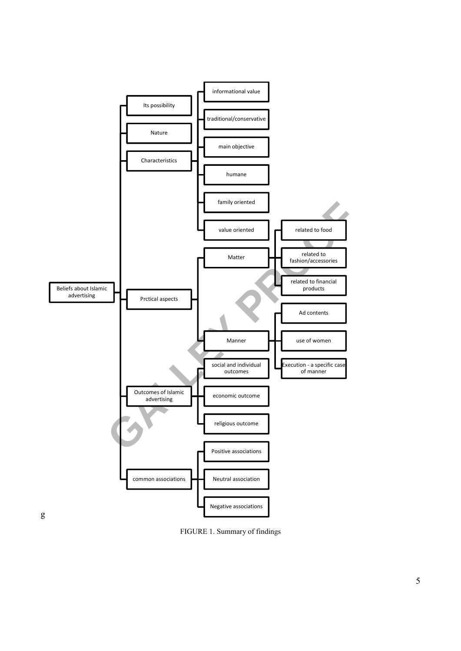

FIGURE 1. Summary of findings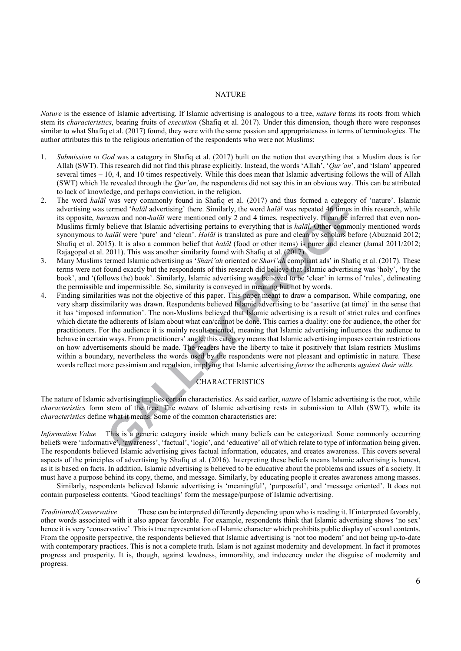#### NATURE

*Nature* is the essence of Islamic advertising. If Islamic advertising is analogous to a tree, *nature* forms its roots from which stem its *characteristics*, bearing fruits of *execution* (Shafiq et al. 2017). Under this dimension, though there were responses similar to what Shafiq et al. (2017) found, they were with the same passion and appropriateness in terms of terminologies. The author attributes this to the religious orientation of the respondents who were not Muslims:

- 1. Submission to God was a category in Shafiq et al. (2017) built on the notion that everything that a Muslim does is for Allah (SWT). This research did not find this phrase explicitly. Instead, the words 'Allah', '*Qur'an*', and 'Islam' appeared several times – 10, 4, and 10 times respectively. While this does mean that Islamic advertising follows the will of Allah (SWT) which He revealed through the *Qur'an*, the respondents did not say this in an obvious way. This can be attributed to lack of knowledge, and perhaps conviction, in the religion.
- 2. The word *halāl* was very commonly found in Shafiq et al. (2017) and thus formed a category of 'nature'. Islamic advertising was termed '*halāl* advertising' there. Similarly, the word *halāl* was repeated 46 times in this research, while its opposite, *haraam* and non-*halāl* were mentioned only 2 and 4 times, respectively. It can be inferred that even non-Muslims firmly believe that Islamic advertising pertains to everything that is *halāl*. Other commonly mentioned words synonymous to *halāl* were 'pure' and 'clean'. *Halāl* is translated as pure and clean by scholars before (Abuznaid 2012; Shafiq et al. 2015). It is also a common belief that *halāl* (food or other items) is purer and cleaner (Jamal 2011/2012; Rajagopal et al. 2011). This was another similarity found with Shafiq et al. (2017).
- terms were not found exactly but the respondents of this research did believe that Islamic advertising was 'holy', 'by the book', and '(follows the) book'. Similarly, Islamic advertising was believed to be 'clear' in terms of 'rules', delineating the permissible and impermissible. So, similarity is conveyed in meaning but not by words. 3. Many Muslims termed Islamic advertising as '*Shari'ah* oriented or *Shari'ah* compliant ads' in Shafiq et al. (2017). These
- Was very commonly found in maning et at. (2017) and thus lottential that is the same than the term of halal advertising there. Similarly, the word haldl was repeated 46 times in the networth and non-halal were mentioned on 4. Finding similarities was not the objective of this paper. This paper meant to draw a comparison. While comparing, one very sharp dissimilarity was drawn. Respondents believed Islamic advertising to be 'assertive (at time)' in the sense that it has 'imposed information'. The non-Muslims believed that Islamic advertising is a result of strict rules and confines which dictate the adherents of Islam about what can/cannot be done. This carries a duality: one for audience, the other for practitioners. For the audience it is mainly result-oriented, meaning that Islamic advertising influences the audience to behave in certain ways. From practitioners' angle, this category means that Islamic advertising imposes certain restrictions on how advertisements should be made. The readers have the liberty to take it positively that Islam restricts Muslims within a boundary, nevertheless the words used by the respondents were not pleasant and optimistic in nature. These words reflect more pessimism and repulsion, implying that Islamic advertising *forces* the adherents *against their wills*.

# **CHARACTERISTICS**

The nature of Islamic advertising implies certain characteristics. As said earlier, *nature* of Islamic advertising is the root, while *characteristics* form stem of the tree. The *nature* of Islamic advertising rests in submission to Allah (SWT), while its *characteristics* define what it means. Some of the common characteristics are:

*Information Value* This is a generic category inside which many beliefs can be categorized. Some commonly occurring beliefs were 'informative', 'awareness', 'factual', 'logic', and 'educative' all of which relate to type of information being given. The respondents believed Islamic advertising gives factual information, educates, and creates awareness. This covers several aspects of the principles of advertising by Shafiq et al. (2016). Interpreting these beliefs means Islamic advertising is honest, as it is based on facts. In addition, Islamic advertising is believed to be educative about the problems and issues of a society. It must have a purpose behind its copy, theme, and message. Similarly, by educating people it creates awareness among masses.

Similarly, respondents believed Islamic advertising is 'meaningful', 'purposeful', and 'message oriented'. It does not contain purposeless contents. 'Good teachings' form the message/purpose of Islamic advertising.

Traditional/Conservative other words associated with it also appear favorable. For example, respondents think that Islamic advertising shows 'no sex' hence it is very 'conservative'. This is true representation of Islamic character which prohibits public display of sexual contents. From the opposite perspective, the respondents believed that Islamic advertising is 'not too modern' and not being up-to-date with contemporary practices. This is not a complete truth. Islam is not against modernity and development. In fact it promotes progress and prosperity. It is, though, against lewdness, immorality, and indecency under the disguise of modernity and These can be interpreted differently depending upon who is reading it. If interpreted favorably, progress.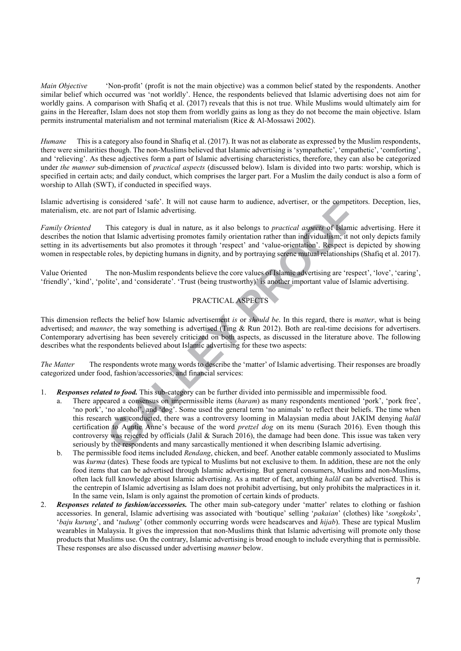Main Objective similar belief which occurred was 'not worldly'. Hence, the respondents believed that Islamic advertising does not aim for worldly gains. A comparison with Shafiq et al. (2017) reveals that this is not true. While Muslims would ultimately aim for gains in the Hereafter, Islam does not stop them from worldly gains as long as they do not become the main objective. Islam permits instrumental materialism and not terminal materialism (Rice & Al-Mossawi 2002). *Main Objective* 'Non-profit' (profit is not the main objective) was a common belief stated by the respondents. Another

there were similarities though. The non-Muslims believed that Islamic advertising is 'sympathetic', 'empathetic', 'comforting', and 'relieving'. As these adjectives form a part of Islamic advertising characteristics, therefore, they can also be categorized under *the manner* sub-dimension of *practical aspects* (discussed below). Islam is divided into two parts: worship, which is specified in certain acts; and daily conduct, which comprises the larger part. For a Muslim the daily conduct is also a form of worship to Allah (SWT), if conducted in specified ways. *Humane* This is a category also found in Shafiq et al. (2017). It was not as elaborate as expressed by the Muslim respondents,

Islamic advertising is considered 'safe'. It will not cause harm to audience, advertiser, or the competitors. Deception, lies, materialism, etc. are not part of Islamic advertising.

*Family Oriented* This category is dual in nature, as it also belongs to *practical aspects* of Islamic advertising. Here it describes the notion that Islamic advertising promotes family orientation rather than individualism; it not only depicts family setting in its advertisements but also promotes it through 'respect' and 'value-orientation'. Respect is depicted by showing women in respectable roles, by depicting humans in dignity, and by portraying serene mutual relationships (Shafiq et al. 2017).

Value Oriented 'friendly', 'kind', 'polite', and 'considerate'. 'Trust (being trustworthy)' is another important value of Islamic advertising. The non-Muslim respondents believe the core values of Islamic advertising are 'respect', 'love', 'caring',

# PRACTICAL ASPECTS

 This dimension reflects the belief how Islamic advertisement *is* or *should be*. In this regard, there is *matter*, what is being advertised; and *manner*, the way something is advertised (Ting & Run 2012). Both are real-time decisions for advertisers. Contemporary advertising has been severely criticized on both aspects, as discussed in the literature above. The following describes what the respondents believed about Islamic advertising for these two aspects:

 *The Matter* The respondents wrote many words to describe the 'matter' of Islamic advertising. Their responses are broadly categorized nder food, fashion/accessories, and financial services:

- 1. **Responses related to food.** This sub-category can be further divided into permissible and impermissible food.
- considered 'safe'. It will not cause harm to audence, advertiser, or the competitor<br>too part of Islamic advertising.<br>This category is dual in nature, as it also belongs to *practical aspects* of Islamic and<br>that Islamic ad a. There appeared a consensus on impermissible items (*haram*) as many respondents mentioned 'pork', 'pork free', 'no pork', 'no alcohol', and 'dog'. Some used the general term 'no animals' to reflect their beliefs. The time when this research was conducted, there was a controversy looming in Malaysian media about JAKIM denying halāl certification to Auntie Anne's because of the word *pretzel dog* on its menu (Surach 2016). Even though this controversy was rejected by officials (Jalil & Surach 2016), the damage had been done. This issue was taken very seriously by the respondents and many sarcastically mentioned it when describing Islamic advertising.
	- b. The permissible food items included *Rendang*, chicken, and beef. Another eatable commonly associated to Muslims was *kurma* (dates). These foods are typical to Muslims but not exclusive to them. In addition, these are not the only food items that can be advertised through Islamic advertising. But general consumers, Muslims and non-Muslims, often lack full knowledge about Islamic advertising. As a matter of fact, anything *halāl* can be advertised. This is the centrepin of Islamic advertising as Islam does not prohibit advertising, but only prohibits the malpractices in it. In the same vein, Islam is only against the promotion of certain kinds of products.
- 2. *Responses related to fashion/accessories*. The other main sub-category under 'matter' relates to clothing or fashion accessories. In general, Islamic advertising was associated with 'boutique' selling '*pakaian*' (clothes) like 'songkoks', '*baju kurung*', and '*tudung*' (other commonly occurring words were headscarves and *hijab*). These are typical Muslim wearables in Malaysia. It gives the impression that non-Muslims think that Islamic advertising will promote only those products that Muslims use. On the contrary, Islamic advertising is broad enough to include everything that is permissible. These responses are also discussed under advertising *manner* below.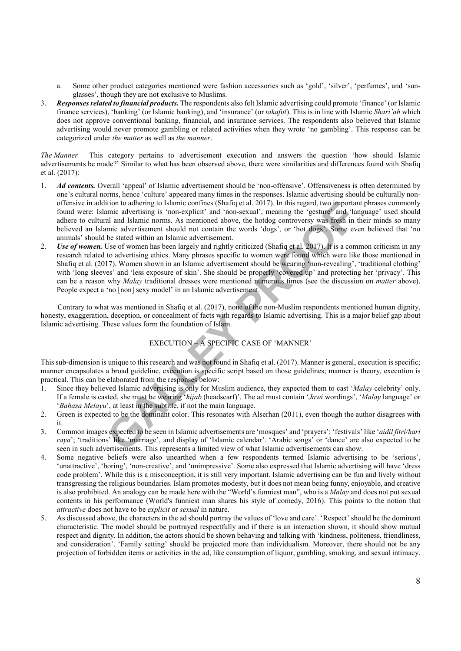- a. Some other product categories mentioned were fashion accessories such as 'gold', 'silver', 'perfumes', and 'sunglasses', though they are not exclusive to Muslims.
- 3. Responses related to financial products. The respondents also felt Islamic advertising could promote 'finance' (or Islamic finance services), 'banking' (or Islamic banking), and 'insurance' (or *takaful*). This is in line with Islamic *Shari'ah* which does not approve conventional banking, financial, and insurance services. The respondents also believed that Islamic advertising would never promote gambling or related activities when they wrote 'no gambling'. This response can be categorized nder *the matter* as well as *the manner*.

*The Manner* This category pertains to advertisement execution and answers the question 'how should Islamic advertisements be made?' Similar to what has been observed above, there were similarities and differences found with Shafiq et al. (2017):

- 1. *Ad contents*. Overall 'appeal' of Islamic advertisement should be 'non-offensive'. Offensiveness is often determined by one's cultural norms, hence 'culture' appeared many times in the responses. Islamic advertising should be culturally non- offensive in addition to adhering to Islamic confines (Shafiq et al. 2017). In this regard, two important phrases commonly found were: Islamic advertising is 'non-explicit' and 'non-sexual', meaning the 'gesture' and 'language' used should adhere to cultural and Islamic norms. As mentioned above, the hotdog controversy was fresh in their minds so many believed an Islamic advertisement should not contain the words 'dogs', or 'hot dogs'. Some even believed that 'no animals' should be stated within an Islamic advertisement.
- ifto to adhering to Islamic confines (Shafiq et al. 2017). In this regard, two important jumpic advertising is 'non-explicit' and 'non-sexual', menning the 'gesture' and 'langu<br>al and Islamic norms. As mentioned above, the 2. *Use of women*. Use of women has been largely and rightly criticized (Shafiq et al. 2017). It is a common criticism in any research related to advertising ethics. Many phrases specific to women were found which were like those mentioned in Shafiq et al. (2017). Women shown in an Islamic advertisement should be wearing 'non-revealing', 'traditional clothing' with 'long sleeves' and 'less exposure of skin'. She should be properly 'covered up' and protecting her 'privacy'. This can be a reason why *Malay* traditional dresses were mentioned numerous times (see the discussion on *matter* above). People expect a 'no [non] sexy model' in an Islamic advertisement.

Contrary to what was mentioned in Shafiq et al. (2017), none of the non-Muslim respondents mentioned human dignity, honesty, exaggeration, deception, or concealment of facts with regards to Islamic advertising. This is a major belief gap about Islamic advertising. These values form the foundation of Islam.

# EXECUTION – A SPECIFIC CASE OF 'MANNER'

This sub-dimension is unique to this research and was not found in Shafiq et al. (2017). Manner is general, execution is specific; manner encapsulates a broad guideline, execution is specific script based on those guidelines; manner is theory, execution is practical. This can be elaborated from the responses below:

- 1. Since they believed Islamic advertising is only for Muslim audience, they expected them to cast '*Malay* celebrity' only. If a female is casted, she must be wearing '*hijab* (headscarf)'. The ad must contain '*Jawi* wordings', '*Malay* language' or '*Bahasa Melayu*', at least in the subtitle, if not the main language.
- 2. Green is expected to be the dominant color. This resonates with Alserhan (2011), even though the author disagrees with it.
- 3. Common images expected to be seen in Islamic advertisements are 'mosques' and 'prayers'; 'festivals' like '*aidil fitri/hari raya*'; 'traditions' like 'marriage', and display of 'Islamic calendar'. 'Arabic songs' or 'dance' are also expected to be seen in such advertisements. This represents a limited view of what Islamic advertisements can show.
- 4. Some negative beliefs were also unearthed when a few respondents termed Islamic advertising to be 'serious', ' nattractive', 'boring', 'non-creative', and ' nimpressive'. Some also expressed that Islamic advertising will have 'dress code problem'. While this is a misconception, it is still very important. Islamic advertising can be fun and lively without transgressing the religious boundaries. Islam promotes modesty, but it does not mean being funny, enjoyable, and creative is also prohibited. An analogy can be made here with the "World's funniest man", who is a *Malay* and does not put sexual contents in his performance (World's funniest man shares his style of comedy, 2016). This points to the notion that *attractive* does not have to be *explicit* or *sexual* in nature.
- 5. As discussed above, the characters in the ad should portray the values of 'love and care'. 'Respect' should be the dominant characteristic. The model should be portrayed respectfully and if there is an interaction shown, it should show mutual respect and dignity. In addition, the actors should be shown behaving and talking with 'kindness, politeness, friendliness, and consideration'. 'Family setting' should be projected more than individualism. Moreover, there should not be any projection of forbidden items or activities in the ad, like consumption of liquor, gambling, smoking, and sexual intimacy.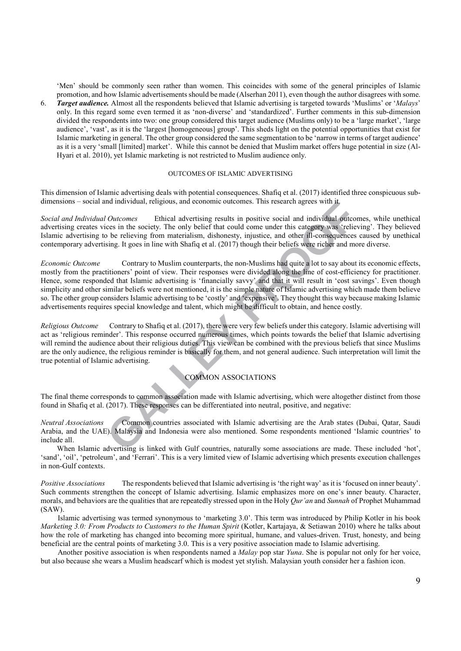'Men' should be commonly seen rather than women. This coincides with some of the general principles of Islamic promotion, and how Islamic advertisements should be made (Alserhan 2011), even though the author disagrees with some.

 6. *Target audie ce.* Almost all the respondents believed that Islamic advertising is targeted towards 'M slims' or '*Malays*' only. In this regard some even termed it as 'non-diverse' and 'standardized'. Further comments in this sub-dimension divided the respondents into two: one group considered this target audience (Muslims only) to be a 'large market', 'large audience', 'vast', as it is the 'largest [homogeneous] group'. This sheds light on the potential opportunities that exist for Islamic marketing in general. The other group considered the same segmentation to be 'narrow in terms of target audience' as it is a very 'small [limited] market'. While this cannot be denied that Muslim market offers huge potential in size (Al-Hyari et al. 2010), yet Islamic marketing is not restricted to Muslim audience only.

#### OUTCOMES OF ISLAMIC ADVERTISING

This dimension of Islamic advertising deals with potential consequences. Shafiq et al. (2017) identified three conspicuous subdimensions – social and individual, religious, and economic outcomes. This research agrees with it,

**Social and Individual Outcomes** advertising creates vices in the society. The only belief that could come under this category was 'relieving'. They believed Islamic advertising to be relieving from materialism, dishonesty, injustice, and other ill-consequences caused by unethical contemporary advertising. It goes in line with Shafiq et al. (2017) though their beliefs were richer and more diverse. Ethical advertising results in positive social and individual outcomes, while unethical

nd mativiatial, religious, and economic outcomes. This research agrees with **1.** Outcomes Ethical advertising results in positive social and individual outcomes in the society. The only belief that could come under this ca **Economic Outcome**  mostly from the practitioners' point of view. Their responses were divided along the line of cost-efficiency for practitioner. Hence, some responded that Islamic advertising is 'financially savvy' and that it will result in 'cost savings'. Even though simplicity and other similar beliefs were not mentioned, it is the simple nature of Islamic advertising which made them believe so. The other group considers Islamic advertising to be 'costly' and 'expensive'. They thought this way because making Islamic advertisements requires special knowledge and talent, which might be difficult to obtain, and hence costly. Contrary to Muslim counterparts, the non-Muslims had quite a lot to say about its economic effects,

*Religious Outcome* act as 'religious reminder'. This response occurred numerous times, which points towards the belief that Islamic advertising will remind the audience about their religious duties. This view can be combined with the previous beliefs that since Muslims are the only audience, the religious reminder is basically for them, and not general audience. Such interpretation will limit the true potential of Islamic advertising. Contrary to Shafiq et al. (2017), there were very few beliefs under this category. Islamic advertising will

# COMMON ASSOCIATIONS

 The final theme corresponds to common association made with Islamic advertising, which were altogether distinct from those found in Shafiq et al. (2017). These responses can be differentiated into neutral, positive, and negative:

*Neutral Associations* Common countries associated with Islamic advertising are the Arab states (Dubai, Qatar, Saudi Arabia, and the UAE). Malaysia and Indonesia were also mentioned. Some respondents mentioned 'Islamic countries' to include all.

'sand', 'oil', 'petroleum', and 'Ferrari'. This is a very limited view of Islamic advertising which presents execution challenges in non-Gulf contexts. When Islamic advertising is linked with Gulf countries, naturally some associations are made. These included 'hot',

*Positive Associations* The respondents believed that Islamic advertising is 'the right way' as it is 'focused on inner beauty'. Such comments strengthen the concept of Islamic advertising. Islamic emphasizes more on one's inner beauty. Character, morals, and behaviors are the qualities that are repeatedly stressed upon in the Holy *Qur'an* and *Sunnah* of Prophet Muhammad  $(SAW)$ .

*Marketing 3.0: From Products to Customers to the Human Spirit (Kotler, Kartajaya, & Setiawan 2010) where he talks about* how the role of marketing has changed into becoming more spiritual, humane, and values-driven. Trust, honesty, and being beneficial are the central points of marketing 3.0. This is a very positive association made to Islamic advertising. Islamic advertising was termed synonymous to 'marketing 3.0'. This term was introduced by Philip Kotler in his book

Another positive association is when respondents named a *Malay* pop star *Yuna*. She is popular not only for her voice, but also because she wears a Muslim headscarf which is modest yet stylish. Malaysian youth consider her a fashion icon.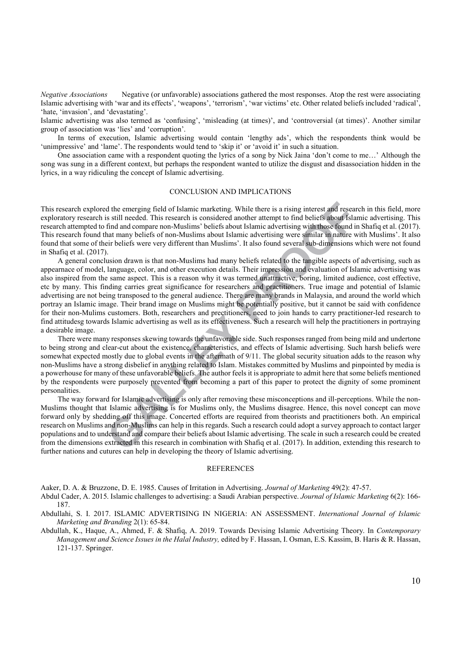*Negative Associations* Negative (or nfavorable) associations gathered the most responses. Atop the rest were associating Islamic advertising with 'war and its effects', 'weapons', 'terrorism', 'war victims' etc. Other related beliefs included 'radical', 'hate, 'invasion', and 'devastating'.

Islamic advertising was also termed as 'confusing', 'misleading (at times)', and 'controversial (at times)'. Another similar group of association was 'lies' and 'corruption'.

'unimpressive' and 'lame'. The respondents would tend to 'skip it' or 'avoid it' in such a situation. In terms of execution, Islamic advertising would contain 'lengthy ads', which the respondents think would be

song was sung in a different context, but perhaps the respondent wanted to utilize the disgust and disassociation hidden in the lyrics, in a way ridiculing the concept of Islamic advertising. One association came with a respondent quoting the lyrics of a song by Nick Jaina 'don't come to me...' Although the

#### CONCLUSION AND IMPLICATIONS

 This research explored the emerging field of Islamic marketing. While there is a rising interest and research in this field, more exploratory research is still needed. This research is considered another attempt to find beliefs about Islamic advertising. This research attempted to find and compare non-Muslims' beliefs about Islamic advertising with those found in Shafiq et al. (2017). This research found that many beliefs of non-Muslims about Islamic advertising were similar in nature with Muslims'. It also found that some of their beliefs were very different than Muslims'. It also found several sub-dimensions which were not found in Shafiq et al. (2017).

d the emerging field of Islamic marketing. While there is a rising interest and research<br>is isl! needed. This research is considered another attempt to find beliefs about Islamin<br>find and compare non-Muslims' beliefs about appearnace of model, language, color, and other execution details. Their impression and evaluation of Islamic advertising was also inspired from the same aspect. This is a reason why it was termed unattractive, boring, limited audience, cost effective, etc by many. This finding carries great significance for researchers and practitioners. True image and potential of Islamic advertising are not being transposed to the general audience. There are many brands in Malaysia, and around the world which portray an Islamic image. Their brand image on Muslims might be potentially positive, but it cannot be said with confidence for their non-Mulims customers. Both, researchers and prectitioners, need to join hands to carry practitioner-led research to find attitudesg towards Islamic advertising as well as its effectiveness. Such a research will help the practitioners in portraying a desirable image. A general conclusion drawn is that non-Muslims had many beliefs related to the tangible aspects of advertising, such as

to being strong and clear-cut about the existence, characteristics, and effects of Islamic advertising. Such harsh beliefs were somewhat expected mostly due to global events in the aftermath of 9/11. The global security situation adds to the reason why non-Muslims have a strong disbelief in anything related to Islam. Mistakes committed by Muslims and pinpointed by media is a powerhouse for many of these unfavorable beliefs. The author feels it is appropriate to admit here that some beliefs mentioned by the respondents were purposely prevented from becoming a part of this paper to protect the dignity of some prominent personalities. There were many responses skewing towards the unfavorable side. Such responses ranged from being mild and undertone

Muslims thought that Islamic advertising is for Muslims only, the Muslims disagree. Hence, this novel concept can move forward only by shedding off this image. Concerted efforts are required from theorists and practitioners both. An empirical research on Muslims and non-Muslims can help in this regards. Such a research could adopt a survey approach to contact larger populations and to understand and compare their beliefs about Islamic advertising. The scale in such a research could be created from the dimensions extracted in this research in combination with Shafiq et al. (2017). In addition, extending this research to further nations and cutures can help in developing the theory of Islamic advertising. The way forward for Islamic advertising is only after removing these misconceptions and ill-perceptions. While the non-

#### REFERENCES

Aaker, D. A. & Bruzzone, D. E. 1985. Causes of Irritation in Advertising. *Journal of Marketing* 49(2): 47-57.

- Abdul Cader, A. 2015. Islamic challenges to advertising: a Saudi Arabian perspective. *Journal of Islamic Marketing* 6(2): 166-187.
- Abd llahi, S. I. 2017. ISLAMIC ADVERTISING IN NIGERIA: AN ASSESSMENT. *International Journal of Islamic Marketing and Branding* 2(1): 65-84.
- Abdullah, K., Haque, A., Ahmed, F. & Shafiq, A. 2019. Towards Devising Islamic Advertising Theory. In *Contemporary Management and Science Issues in the Halal Industry,* edited by F. Hassan, I. Osman, E.S. Kassim, B. Haris & R. Hassan, 121-137. Springer.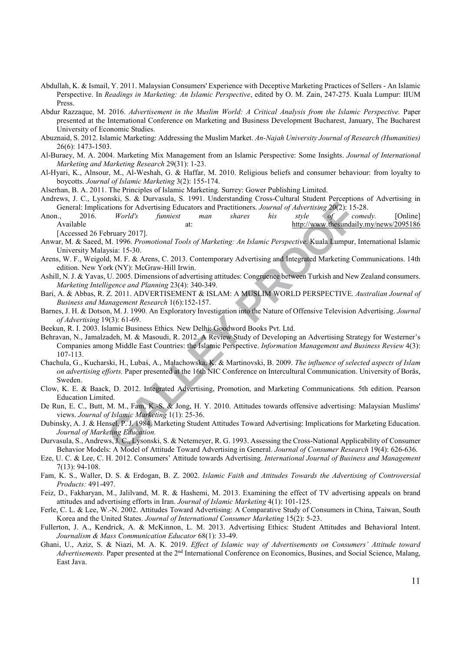- Abdullah, K. & Ismail, Y. 2011. Malaysian Consumers' Experience with Deceptive Marketing Practices of Sellers An Islamic Perspective. In *Readings in Marketing: An Islamic Perspective*, edited by O. M. Zain, 247-275. Kuala Lumpur: IIUM Press.
- Abdur Razzaque, M. 2016. *Advertisement in the Muslim World: A Critical Analysis from the Islamic Perspective*. Paper presented at the International Conference on Marketing and Business Development Bucharest, January, The Bucharest University of Economic Studies.
- Abuznaid, S. 2012. Islamic Marketing: Addressing the Muslim Market. An-Najah University Journal of Research (Humanities) 26(6): 1473-1503.
- Al-B raey, M. A. 2004. Marketing Mix Management from an Islamic Perspective: Some Insights. *Journal of International Marketing and Marketing Research* 29(31): 1-23.
- Al-Hyari, K., Alnsour, M., Al-Weshah, G. & Haffar, M. 2010. Religious beliefs and consumer behaviour: from loyalty to  boycotts. *Journal of Islamic Marketing* 3(2): 155-174.

Alserhan, B. A. 2011. The Principles of Islamic Marketing. Surrey: Gower Publishing Limited.

- Andrews, J. C., Lysonski, S. & Durvasula, S. 1991. Understanding Cross-Cultural Student Perceptions of Advertising in General: Implications for Advertising Educators and Practitioners. *Journal of Advertising* 20(2): 15-28.
- Anon., [Accessed 26 February 2017]. Anon., 2016. *World's funniest man shares his style of comedy.* [Online] Available at: http://www.thesundaily.my/news/2095186
- Anwar, M. & Saeed, M. 1996. *Promotional Tools of Marketing: An Islamic Perspective*. Kuala Lumpur, International Islamic University Malaysia: 15-30.
- Arens, W. F., Weigold, M. F. & Arens, C. 2013. Contemporary Advertising and Integrated Marketing Communications. 14th edition. New York (NY): McGraw-Hill Irwin.
- Ashill, N. J. & Yavas, U. 2005. Dimensions of advertising attitudes: Congruence between Turkish and New Zealand consumers.  *Marketing Intelligence and Planning* 23(4): 340-349.
- Bari, A. & Abbas, R. Z. 2011. ADVERTISEMENT & ISLAM: A MUSLIM WORLD PERSPECTIVE. *Australian Journal of Business and Management Research* 1(6):152-157.
- Barnes, J. H. & Dotson, M. J. 1990. An Exploratory Investigation into the Nature of Offensive Television Advertising. *Journal of Advertising* 19(3): 61-69.
- Beekun, R. I. 2003. Islamic Business Ethics. New Delhi: Goodword Books Pvt. Ltd.
- Example and Distributions *in the Command Columb* (*G. 12 Tartitaling 2002)*: 15-28<br> *World's* funniest man shares his style of<br>
bruary 2017].<br> *Abune Perspective* Mual Lumpur, International *Tools of Marketing: An Islamic* Behravan, N., Jamalzadeh, M. & Masoudi, R. 2012. A Review Study of Developing an Advertising Strategy for Westerner's Companies among Middle East Countries: the Islamic Perspective. *Information Management and Business Review* 4(3): 107-113.
- Chachula, G., Kucharski, H., Lubaś, A., Małachowska, K. & Martinovski, B. 2009. *The influence of selected aspects of Islam* on advertising efforts. Paper presented at the 16th NIC Conference on Intercultural Communication. University of Borås, Sweden.
- Clow, K. E. & Baack, D. 2012. Integrated Advertising, Promotion, and Marketing Comm nications*.* 5th edition. Pearson Education Limited.
- De Run, E. C., Butt, M. M., Fam, K.-S. & Jong, H. Y. 2010. Attitudes towards offensive advertising: Malaysian Muslims'  views. *Journal of Islamic Marketing* 1(1): 25-36.
- Dubinsky, A. J. & Hensel, P. J. 1984. Marketing Student Attitudes Toward Advertising: Implications for Marketing Education.  *Journal of Marketing Education.*
- Durvasula, S., Andrews, J. C., Lysonski, S. & Netemeyer, R. G. 1993. Assessing the Cross-National Applicability of Consumer Behavior Models: A Model of Attitude Toward Advertising in General. *Journal of Consumer Research* 19(4): 626-636.
- Eze, U. C. & Lee, C. H. 2012. Consumers' Attitude towards Advertising. *International Journal of Business and Management* 7(13): 94-108.
- Fam, K. S., Waller, D. S. & Erdogan, B. Z. 2002. *Islamic Faith and Attitudes Towards the Advertising of Controversial Products:* 491-497.
- Feiz, D., Fakharyan, M., Jalilvand, M. R. & Hashemi, M. 2013. Examining the effect of TV advertising appeals on brand attit des and advertising efforts in Iran. *Journal of Islamic Marketing* 4(1): 101-125.
- Ferle, C. L. & Lee, W.-N. 2002. Attitudes Toward Advertising: A Comparative Study of Consumers in China, Taiwan, South Korea and the United States. *Journal of International Consumer Marketing* 15(2): 5-23.
- Fullerton, J. A., Kendrick, A. & McKinnon, L. M. 2013. Advertising Ethics: Student Attitudes and Behavioral Intent.  *Journalism & Mass Communication Educator* 68(1): 33-49.
- Ghani, U., Aziz, S. & Niazi, M. A. K. 2019. *Effect of Islamic way of Advertisements on Consumers' Attitude toward Advertisements*. Paper presented at the 2<sup>nd</sup> International Conference on Economics, Busines, and Social Science, Malang, East Java.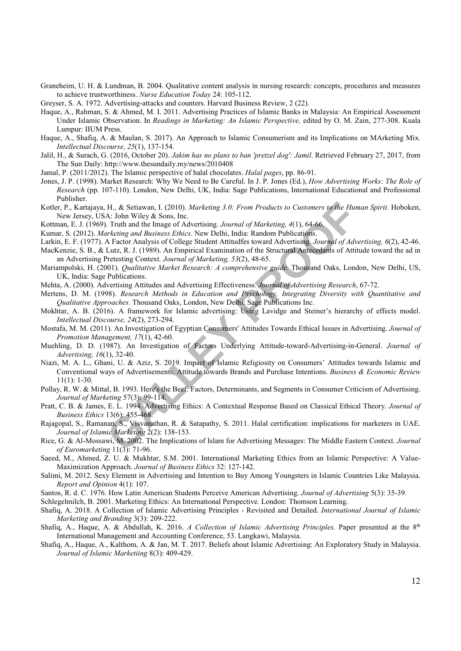- Graneheim, U. H. & Lundman, B. 2004. Qualitative content analysis in nursing research: concepts, procedures and measures to achieve trustworthiness. *Nurse Education Today* 24: 105-112.
- Greyser, S. A. 1972. Advertising-attacks and counters. Harvard Business Review, 2 (22).
- Haque, A., Rahman, S. & Ahmed, M. I. 2011. Advertising Practices of Islamic Banks in Malaysia: An Empirical Assessment Under Islamic Observation. In *Readings in Marketing: An Islamic Perspective*, edited by O. M. Zain, 277-308. Kuala Lumpur: IIUM Press.
- Haque, A., Shafiq, A. & Maulan, S. 2017). An Approach to Islamic Consumerism and its Implications on MArketing Mix.  *Intellectual Discourse, 25*(1), 137-154.
- Jalil, H., & Surach, G. (2016, October 20). *Jakim has no plans to ban 'pretzel dog': Jamil*. Retrieved February 27, 2017, from The Sun Daily: http://www.thesundaily.my/news/2010408
- Jamal, P. (2011/2012). The Islamic perspective of halal chocolates. *Halal pages*, pp. 86-91.
- Jones, J. P. (1998). Market Research: Why We Need to Be Careful. In J. P. Jones (Ed.), *How Advertising Works: The Role of Research* (pp. 107-110). London, New Delhi, UK, India: Sage Publications, International Educational and Professional Publisher.
- Kotler, P., Kartajaya, H., & Setiawan, I. (2010). *Marketing 3.0: From Products to Customers to the Human Spirit.* Hoboken, New Jersey, USA: John Wiley & Sons, Inc.
- Kottman, E. J. (1969). Truth and the Image of Advertising. *Journal of Marketing, 4*(1), 64-66.
- Kumar, S. (2012). *Marketing and Business Ethics*. New Delhi, India: Random Publications.
- Larkin, E. F. (1977). A Factor Analysis of College Student Attitudfes toward Advertising. *Journal of Advertising, 6*(2), 42-46.
- MacKenzie, S. B., & Lutz, R. J. (1989). An Empirical Examination of the Structural Antecedants of Attitude toward the ad in an Advertising Pretesting Context. *Journal of Marketing, 53*(2), 48-65.
- Mariampolski, H. (2001). *Qualitative Market Research: A comprehensive guide*. Thousand Oaks, London, New Delhi, US, UK, India: Sage Publications.
- Mehta, A. (2000). Advertising Attitudes and Advertising Effectiveness. *Journal of Advertising Research*, 67-72.
- Mertens, D. M. (1998). *Research Methods in Education and Psychology. Integrating Diversity with Quantitative and Qualitative Approaches.* Thousand Oaks, London, New Delhi: Sage Publications Inc.
- Mokhtar, A. B. (2016). A framework for Islamic advertising: Using Lavidge and Steiner's hierarchy of effects model.  *Intellectual Discourse, 24*(2), 273-294.
- Mostafa, M. M. (2011). An Investigation of Egyptian Consumers' Attitudes Towards Ethical Issues in Advertising. *Journal of Promotion Management, 17*(1), 42-60.
- Muehling, D. D. (1987). An Investigation of Factors Underlying Attitude-toward-Advertising-in-General. *Journal of Advertising, 16*(1), 32-40.
- H., & Setiawan, I. (2010). *Marketing 3.0: From Products to Customers to the Huma*.<br>
A: John Wiley & Sons, Inc.<br>
A: John Wiley & Sons, Inc.<br>
I. Truth and the Image of Advertising. Journal of Marketing, 4(1), 64-66.<br>
Irchit Niazi, M. A. L., Ghani, U. & Aziz, S. 2019. Impact of Islamic Religiosity on Consumers' Attitudes towards Islamic and Conventional ways of Advertisements, Attitude towards Brands and Purchase Intentions. *Business & Economic Review* 11(1): 1-30.
- Pollay, R. W. & Mittal, B. 1993. Here's the Beef: Factors, Determinants, and Segments in Consumer Criticism of Advertising.  *Journal of Marketing* 57(3): 99-114.
- Pratt, C. B. & James, E. L. 1994. Advertising Ethics: A Contextual Response Based on Classical Ethical Theory. *Journal of Business Ethics* 13(6): 455-468.
- Rajagopal, S., Ramanan, S., Visvanathan, R. & Satapathy, S. 2011. Halal certification: implications for marketers in UAE.  *Journal of Islamic Marketing* 2(2): 138-153.
- Rice, G. & Al-Mossawi, M. 2002. The Implications of Islam for Advertising Messages: The Middle Eastern Context. *Journal of Euromarketing* 11(3): 71-96.
- Saeed, M., Ahmed, Z. U. & Mukhtar, S.M. 2001. International Marketing Ethics from an Islamic Perspective: A Value-Maximization Approach. *Journal of Business Ethics* 32: 127-142.
- Salimi, M. 2012. Sexy Element in Advertising and Intention to Buy Among Youngsters in Islamic Countries Like Malaysia.  *Report and Opinion* 4(1): 107.
- Santos, R. d. C. 1976. How Latin American Students Perceive American Advertising. *Journal of Advertising* 5(3): 35-39.
- Schlegelmilch, B. 2001. Marketing Ethics: An International Perspective*.* London: Thomson Learning.
- Shafiq, A. 2018. A Collection of Islamic Advertising Principles Revisited and Detailed. *International Journal of Islamic Marketing and Branding* 3(3): 209-222.
- Shafiq, A., Haque, A. & Abdullah, K. 2016. *A Collection of Islamic Advertising Principles*. Paper presented at the 8<sup>th</sup> International Management and Accounting Conference, 53. Langkawi, Malaysia.
- Shafiq, A., Haque, A., Kalthom, A. & Jan, M. T. 2017. Beliefs about Islamic Advertising: An Exploratory Study in Malaysia.  *Journal of Islamic Marketiing* 8(3): 409-429.